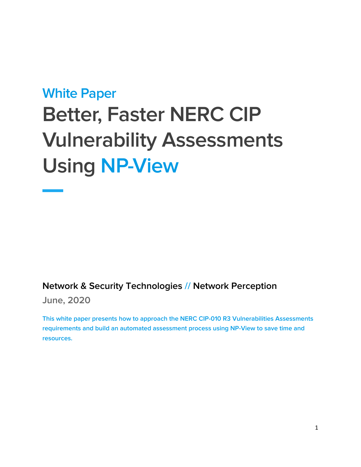# **White Paper Better, Faster NERC CIP Vulnerability Assessments Using NP-View**

# **Network & Security Technologies // Network Perception**

**June, 2020**

**This white paper presents how to approach the NERC CIP-010 R3 Vulnerabilities Assessments requirements and build an automated assessment process using NP-View to save time and resources.**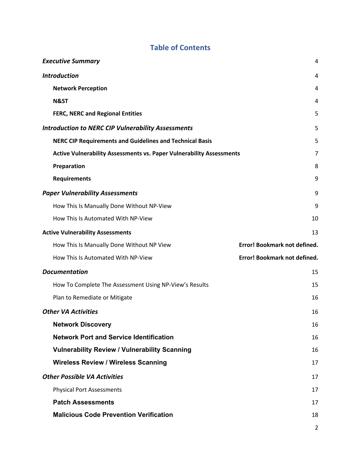# **Table of Contents**

| <b>Executive Summary</b>                                                    | 4                            |
|-----------------------------------------------------------------------------|------------------------------|
| <b>Introduction</b>                                                         | 4                            |
| <b>Network Perception</b>                                                   | 4                            |
| <b>N&amp;ST</b>                                                             | 4                            |
| <b>FERC, NERC and Regional Entities</b>                                     | 5                            |
| <b>Introduction to NERC CIP Vulnerability Assessments</b>                   | 5                            |
| <b>NERC CIP Requirements and Guidelines and Technical Basis</b>             | 5                            |
| <b>Active Vulnerability Assessments vs. Paper Vulnerability Assessments</b> | 7                            |
| Preparation                                                                 | 8                            |
| <b>Requirements</b>                                                         | 9                            |
| <b>Paper Vulnerability Assessments</b>                                      | 9                            |
| How This Is Manually Done Without NP-View                                   | 9                            |
| How This Is Automated With NP-View                                          | 10                           |
| <b>Active Vulnerability Assessments</b>                                     | 13                           |
|                                                                             |                              |
| How This Is Manually Done Without NP View                                   | Error! Bookmark not defined. |
| How This Is Automated With NP-View                                          | Error! Bookmark not defined. |
| <b>Documentation</b>                                                        | 15                           |
| How To Complete The Assessment Using NP-View's Results                      | 15                           |
| Plan to Remediate or Mitigate                                               | 16                           |
| <b>Other VA Activities</b>                                                  | 16                           |
| <b>Network Discovery</b>                                                    | 16                           |
| <b>Network Port and Service Identification</b>                              | 16                           |
| <b>Vulnerability Review / Vulnerability Scanning</b>                        | 16                           |
| <b>Wireless Review / Wireless Scanning</b>                                  | 17                           |
| <b>Other Possible VA Activities</b>                                         | 17                           |
| <b>Physical Port Assessments</b>                                            | 17                           |
| <b>Patch Assessments</b>                                                    | 17                           |
| <b>Malicious Code Prevention Verification</b>                               | 18                           |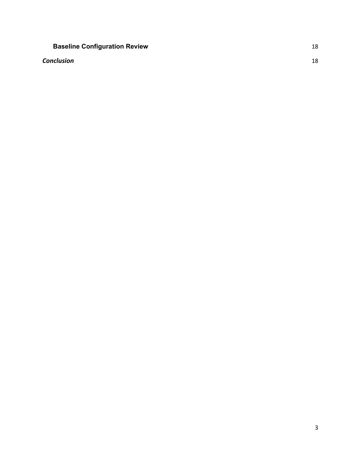# **Baseline Configuration Review 18**

## **Conclusion** 18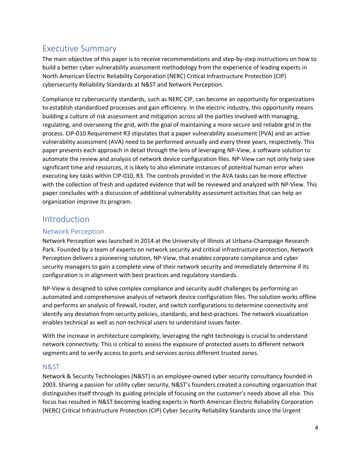# Executive Summary

The main objective of this paper is to receive recommendations and step-by-step instructions on how to build a better cyber vulnerability assessment methodology from the experience of leading experts in North American Electric Reliability Corporation (NERC) Critical Infrastructure Protection (CIP) cybersecurity Reliability Standards at N&ST and Network Perception.

Compliance to cybersecurity standards, such as NERC CIP, can become an opportunity for organizations to establish standardized processes and gain efficiency. In the electric industry, this opportunity means building a culture of risk assessment and mitigation across all the parties involved with managing, regulating, and overseeing the grid, with the goal of maintaining a more secure and reliable grid in the process. CIP-010 Requirement R3 stipulates that a paper vulnerability assessment (PVA) and an active vulnerability assessment (AVA) need to be performed annually and every three years, respectively. This paper presents each approach in detail through the lens of leveraging NP-View, a software solution to automate the review and analysis of network device configuration files. NP-View can not only help save significant time and resources, it is likely to also eliminate instances of potential human error when executing key tasks within CIP-010, R3. The controls provided in the AVA tasks can be more effective with the collection of fresh and updated evidence that will be reviewed and analyzed with NP-View. This paper concludes with a discussion of additional vulnerability assessment activities that can help an organization improve its program.

# Introduction

## Network Perception

Network Perception was launched in 2014 at the University of Illinois at Urbana-Champaign Research Park. Founded by a team of experts on network security and critical infrastructure protection, Network Perception delivers a pioneering solution, NP-View, that enables corporate compliance and cyber security managers to gain a complete view of their network security and immediately determine if its configuration is in alignment with best practices and regulatory standards.

NP-View is designed to solve complex compliance and security audit challenges by performing an automated and comprehensive analysis of network device configuration files. The solution works offline and performs an analysis of firewall, router, and switch configurations to determine connectivity and identify any deviation from security policies, standards, and best-practices. The network visualization enables technical as well as non-technical users to understand issues faster.

With the increase in architecture complexity, leveraging the right technology is crucial to understand network connectivity. This is critical to assess the exposure of protected assets to different network segments and to verify access to ports and services across different trusted zones.

## N&ST

Network & Security Technologies (N&ST) is an employee-owned cyber security consultancy founded in 2003. Sharing a passion for utility cyber security, N&ST's founders created a consulting organization that distinguishes itself through its guiding principle of focusing on the customer's needs above all else. This focus has resulted in N&ST becoming leading experts in North American Electric Reliability Corporation (NERC) Critical Infrastructure Protection (CIP) Cyber Security Reliability Standards since the Urgent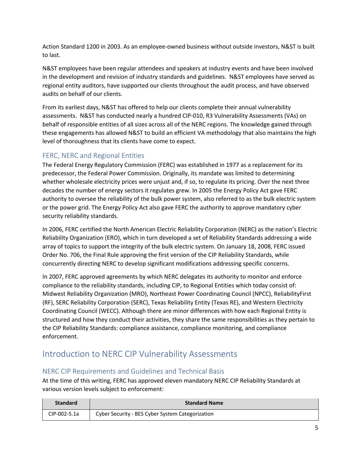Action Standard 1200 in 2003. As an employee-owned business without outside investors, N&ST is built to last.

N&ST employees have been regular attendees and speakers at industry events and have been involved in the development and revision of industry standards and guidelines. N&ST employees have served as regional entity auditors, have supported our clients throughout the audit process, and have observed audits on behalf of our clients.

From its earliest days, N&ST has offered to help our clients complete their annual vulnerability assessments. N&ST has conducted nearly a hundred CIP-010, R3 Vulnerability Assessments (VAs) on behalf of responsible entities of all sizes across all of the NERC regions. The knowledge gained through these engagements has allowed N&ST to build an efficient VA methodology that also maintains the high level of thoroughness that its clients have come to expect.

## FERC, NERC and Regional Entities

The Federal Energy Regulatory Commission (FERC) was established in 1977 as a replacement for its predecessor, the Federal Power Commission. Originally, its mandate was limited to determining whether wholesale electricity prices were unjust and, if so, to regulate its pricing. Over the next three decades the number of energy sectors it regulates grew. In 2005 the Energy Policy Act gave FERC authority to oversee the reliability of the bulk power system, also referred to as the bulk electric system or the power grid. The Energy Policy Act also gave FERC the authority to approve mandatory cyber security reliability standards.

In 2006, FERC certified the North American Electric Reliability Corporation (NERC) as the nation's Electric Reliability Organization (ERO), which in turn developed a set of Reliability Standards addressing a wide array of topics to support the integrity of the bulk electric system. On January 18, 2008, FERC issued Order No. 706, the Final Rule approving the first version of the CIP Reliability Standards, while concurrently directing NERC to develop significant modifications addressing specific concerns.

In 2007, FERC approved agreements by which NERC delegates its authority to monitor and enforce compliance to the reliability standards, including CIP, to Regional Entities which today consist of: Midwest Reliability Organization (MRO), Northeast Power Coordinating Council (NPCC), ReliabilityFirst (RF), SERC Reliability Corporation (SERC), Texas Reliability Entity (Texas RE), and Western Electricity Coordinating Council (WECC). Although there are minor differences with how each Regional Entity is structured and how they conduct their activities, they share the same responsibilities as they pertain to the CIP Reliability Standards: compliance assistance, compliance monitoring, and compliance enforcement.

# Introduction to NERC CIP Vulnerability Assessments

## NERC CIP Requirements and Guidelines and Technical Basis

At the time of this writing, FERC has approved eleven mandatory NERC CIP Reliability Standards at various version levels subject to enforcement:

| <b>Standard</b> | <b>Standard Name</b>                             |
|-----------------|--------------------------------------------------|
| CIP-002-5.1a    | Cyber Security - BES Cyber System Categorization |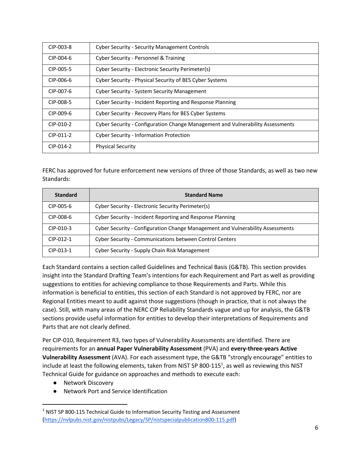| CIP-003-8 | <b>Cyber Security - Security Management Controls</b>                           |
|-----------|--------------------------------------------------------------------------------|
| CIP-004-6 | Cyber Security - Personnel & Training                                          |
| CIP-005-5 | Cyber Security - Electronic Security Perimeter(s)                              |
| CIP-006-6 | Cyber Security - Physical Security of BES Cyber Systems                        |
| CIP-007-6 | <b>Cyber Security - System Security Management</b>                             |
| CIP-008-5 | Cyber Security - Incident Reporting and Response Planning                      |
| CIP-009-6 | Cyber Security - Recovery Plans for BES Cyber Systems                          |
| CIP-010-2 | Cyber Security - Configuration Change Management and Vulnerability Assessments |
| CIP-011-2 | <b>Cyber Security - Information Protection</b>                                 |
| CIP-014-2 | <b>Physical Security</b>                                                       |

FERC has approved for future enforcement new versions of three of those Standards, as well as two new Standards:

| <b>Standard</b> | <b>Standard Name</b>                                                           |
|-----------------|--------------------------------------------------------------------------------|
| CIP-005-6       | Cyber Security - Electronic Security Perimeter(s)                              |
| CIP-008-6       | Cyber Security - Incident Reporting and Response Planning                      |
| CIP-010-3       | Cyber Security - Configuration Change Management and Vulnerability Assessments |
| CIP-012-1       | <b>Cyber Security - Communications between Control Centers</b>                 |
| $CIP-013-1$     | Cyber Security - Supply Chain Risk Management                                  |

Each Standard contains a section called Guidelines and Technical Basis (G&TB). This section provides insight into the Standard Drafting Team's intentions for each Requirement and Part as well as providing suggestions to entities for achieving compliance to those Requirements and Parts. While this information is beneficial to entities, this section of each Standard is not approved by FERC, nor are Regional Entities meant to audit against those suggestions (though in practice, that is not always the case). Still, with many areas of the NERC CIP Reliability Standards vague and up for analysis, the G&TB sections provide useful information for entities to develop their interpretations of Requirements and Parts that are not clearly defined.

Per CIP-010, Requirement R3, two types of Vulnerability Assessments are identified. There are requirements for an **annual Paper Vulnerability Assessment** (PVA) and **every-three-years Active Vulnerability Assessment** (AVA). For each assessment type, the G&TB "strongly encourage" entities to include at least the following elements, taken from NIST SP 800-115<sup>1</sup>, as well as reviewing this NIST Technical Guide for guidance on approaches and methods to execute each:

- Network Discovery
- Network Port and Service Identification

<sup>&</sup>lt;sup>1</sup> NIST SP 800-115 Technical Guide to Information Security Testing and Assessment (https://nvlpubs.nist.gov/nistpubs/Legacy/SP/nistspecialpublication800-115.pdf)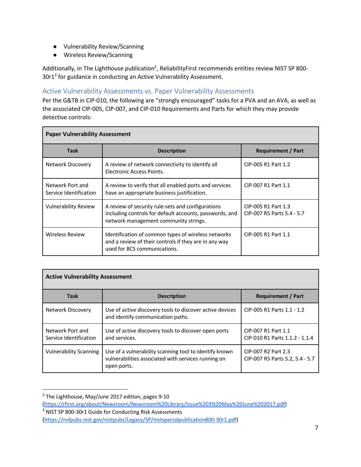- Vulnerability Review/Scanning
- Wireless Review/Scanning

Additionally, in The Lighthouse publication<sup>2</sup>, ReliabilityFirst recommends entities review NIST SP 800-30r1<sup>3</sup> for guidance in conducting an Active Vulnerability Assessment.

# Active Vulnerability Assessments vs. Paper Vulnerability Assessments

Per the G&TB in CIP-010, the following are "strongly encouraged" tasks for a PVA and an AVA, as well as the associated CIP-005, CIP-007, and CIP-010 Requirements and Parts for which they may provide detective controls:

| <b>Paper Vulnerability Assessment</b>      |                                                                                                                                                       |                                                   |  |  |
|--------------------------------------------|-------------------------------------------------------------------------------------------------------------------------------------------------------|---------------------------------------------------|--|--|
| <b>Task</b>                                | <b>Description</b>                                                                                                                                    | <b>Requirement / Part</b>                         |  |  |
| Network Discovery                          | A review of network connectivity to identify all<br>Electronic Access Points.                                                                         | CIP-005 R1 Part 1.2                               |  |  |
| Network Port and<br>Service Identification | A review to verify that all enabled ports and services<br>have an appropriate business justification.                                                 | CIP-007 R1 Part 1.1                               |  |  |
| <b>Vulnerability Review</b>                | A review of security rule-sets and configurations<br>including controls for default accounts, passwords, and<br>network management community strings. | CIP-005 R1 Part 1.3<br>CIP-007 R5 Parts 5.4 - 5.7 |  |  |
| <b>Wireless Review</b>                     | Identification of common types of wireless networks<br>and a review of their controls if they are in any way<br>used for BCS communications.          | CIP-005 R1 Part 1.1                               |  |  |

| <b>Active Vulnerability Assessment</b>     |                                                                                                                              |                                                        |  |  |  |
|--------------------------------------------|------------------------------------------------------------------------------------------------------------------------------|--------------------------------------------------------|--|--|--|
| <b>Task</b>                                | <b>Description</b>                                                                                                           | <b>Requirement / Part</b>                              |  |  |  |
| Network Discovery                          | Use of active discovery tools to discover active devices<br>and identify communication paths.                                | CIP-005 R1 Parts 1.1 - 1.2                             |  |  |  |
| Network Port and<br>Service Identification | Use of active discovery tools to discover open ports<br>and services.                                                        | CIP-007 R1 Part 1.1<br>CIP-010 R1 Parts 1.1.2 - 1.1.4  |  |  |  |
| <b>Vulnerability Scanning</b>              | Use of a vulnerability scanning tool to identify known<br>vulnerabilities associated with services running on<br>open ports. | CIP-007 R2 Part 2.3<br>CIP-007 R5 Parts 5.2, 5.4 - 5.7 |  |  |  |

<sup>&</sup>lt;sup>2</sup> The Lighthouse, May/June 2017 edition, pages 9-10 (https://rfirst.org/about/Newsroom/Newsroom%20Library/Issue%203%20May%20June%202017.pdf) <sup>3</sup> NIST SP 800-30r1 Guide for Conducting Risk Assessments

<sup>(</sup>https://nvlpubs.nist.gov/nistpubs/Legacy/SP/nistspecialpublication800-30r1.pdf)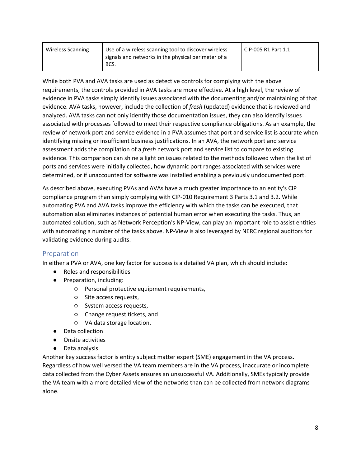| Wireless Scanning | Use of a wireless scanning tool to discover wireless<br>signals and networks in the physical perimeter of a<br>BCS. | CIP-005 R1 Part 1.1 |
|-------------------|---------------------------------------------------------------------------------------------------------------------|---------------------|
|                   |                                                                                                                     |                     |

While both PVA and AVA tasks are used as detective controls for complying with the above requirements, the controls provided in AVA tasks are more effective. At a high level, the review of evidence in PVA tasks simply identify issues associated with the documenting and/or maintaining of that evidence. AVA tasks, however, include the collection of *fresh* (updated) evidence that is reviewed and analyzed. AVA tasks can not only identify those documentation issues, they can also identify issues associated with processes followed to meet their respective compliance obligations. As an example, the review of network port and service evidence in a PVA assumes that port and service list is accurate when identifying missing or insufficient business justifications. In an AVA, the network port and service assessment adds the compilation of a *fresh* network port and service list to compare to existing evidence. This comparison can shine a light on issues related to the methods followed when the list of ports and services were initially collected, how dynamic port ranges associated with services were determined, or if unaccounted for software was installed enabling a previously undocumented port.

As described above, executing PVAs and AVAs have a much greater importance to an entity's CIP compliance program than simply complying with CIP-010 Requirement 3 Parts 3.1 and 3.2. While automating PVA and AVA tasks improve the efficiency with which the tasks can be executed, that automation also eliminates instances of potential human error when executing the tasks. Thus, an automated solution, such as Network Perception's NP-View, can play an important role to assist entities with automating a number of the tasks above. NP-View is also leveraged by NERC regional auditors for validating evidence during audits.

## Preparation

In either a PVA or AVA, one key factor for success is a detailed VA plan, which should include:

- Roles and responsibilities
- Preparation, including:
	- Personal protective equipment requirements,
	- Site access requests,
	- System access requests,
	- Change request tickets, and
	- VA data storage location.
- Data collection
- Onsite activities
- Data analysis

Another key success factor is entity subject matter expert (SME) engagement in the VA process. Regardless of how well versed the VA team members are in the VA process, inaccurate or incomplete data collected from the Cyber Assets ensures an unsuccessful VA. Additionally, SMEs typically provide the VA team with a more detailed view of the networks than can be collected from network diagrams alone.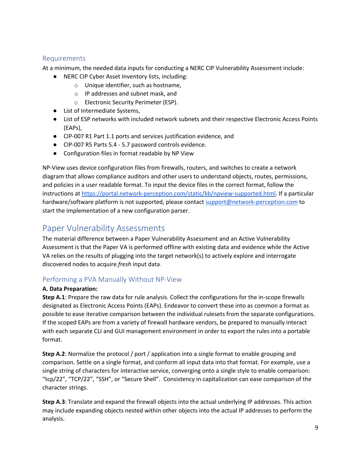#### Requirements

At a minimum, the needed data inputs for conducting a NERC CIP Vulnerability Assessment include:

- NERC CIP Cyber Asset Inventory lists, including:
	- o Unique identifier, such as hostname,
	- o IP addresses and subnet mask, and
	- o Electronic Security Perimeter (ESP).
- List of Intermediate Systems,
- List of ESP networks with included network subnets and their respective Electronic Access Points (EAPs),
- CIP-007 R1 Part 1.1 ports and services justification evidence, and
- CIP-007 R5 Parts 5.4 5.7 password controls evidence.
- Configuration files in format readable by NP View

NP-View uses device configuration files from firewalls, routers, and switches to create a network diagram that allows compliance auditors and other users to understand objects, routes, permissions, and policies in a user readable format. To input the device files in the correct format, follow the instructions at https://portal.network-perception.com/static/kb/npview-supported.html. If a particular hardware/software platform is not supported, please contact support@network-perception.com to start the implementation of a new configuration parser.

# Paper Vulnerability Assessments

The material difference between a Paper Vulnerability Assessment and an Active Vulnerability Assessment is that the Paper VA is performed offline with existing data and evidence while the Active VA relies on the results of plugging into the target network(s) to actively explore and interrogate discovered nodes to acquire *fresh* input data.

# Performing a PVA Manually Without NP-View

#### **A. Data Preparation:**

**Step A.1**: Prepare the raw data for rule analysis. Collect the configurations for the in-scope firewalls designated as Electronic Access Points (EAPs). Endeavor to convert these into as common a format as possible to ease iterative comparison between the individual rulesets from the separate configurations. If the scoped EAPs are from a variety of firewall hardware vendors, be prepared to manually interact with each separate CLI and GUI management environment in order to export the rules into a portable format.

**Step A.2**: Normalize the protocol / port / application into a single format to enable grouping and comparison. Settle on a single format, and conform all input data into that format. For example, use a single string of characters for interactive service, converging onto a single style to enable comparison: "tcp/22", "TCP/22", "SSH", or "Secure Shell". Consistency in capitalization can ease comparison of the character strings.

**Step A.3**: Translate and expand the firewall objects into the actual underlying IP addresses. This action may include expanding objects nested within other objects into the actual IP addresses to perform the analysis.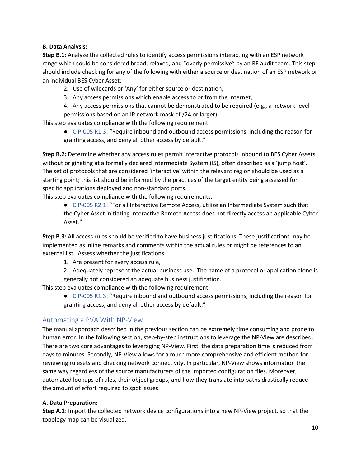#### **B. Data Analysis:**

**Step B.1**: Analyze the collected rules to identify access permissions interacting with an ESP network range which could be considered broad, relaxed, and "overly permissive" by an RE audit team. This step should include checking for any of the following with either a source or destination of an ESP network or an individual BES Cyber Asset:

2. Use of wildcards or 'Any' for either source or destination,

- 3. Any access permissions which enable access to or from the Internet,
- 4. Any access permissions that cannot be demonstrated to be required (e.g., a network-level permissions based on an IP network mask of /24 or larger).

This step evaluates compliance with the following requirement:

● CIP-005 R1.3: "Require inbound and outbound access permissions, including the reason for granting access, and deny all other access by default."

**Step B.2:** Determine whether any access rules permit interactive protocols inbound to BES Cyber Assets without originating at a formally declared Intermediate System (IS), often described as a 'jump host'. The set of protocols that are considered 'interactive' within the relevant region should be used as a starting point; this list should be informed by the practices of the target entity being assessed for specific applications deployed and non-standard ports.

This step evaluates compliance with the following requirements:

● CIP-005 R2.1: "For all Interactive Remote Access, utilize an Intermediate System such that the Cyber Asset initiating Interactive Remote Access does not directly access an applicable Cyber Asset."

**Step B.3:** All access rules should be verified to have business justifications. These justifications may be implemented as inline remarks and comments within the actual rules or might be references to an external list. Assess whether the justifications:

- 1. Are present for every access rule,
- 2. Adequately represent the actual business use. The name of a protocol or application alone is generally not considered an adequate business justification.

This step evaluates compliance with the following requirement:

● CIP-005 R1.3: "Require inbound and outbound access permissions, including the reason for granting access, and deny all other access by default."

## Automating a PVA With NP-View

The manual approach described in the previous section can be extremely time consuming and prone to human error. In the following section, step-by-step instructions to leverage the NP-View are described. There are two core advantages to leveraging NP-View. First, the data preparation time is reduced from days to minutes. Secondly, NP-View allows for a much more comprehensive and efficient method for reviewing rulesets and checking network connectivity. In particular, NP-View shows information the same way regardless of the source manufacturers of the imported configuration files. Moreover, automated lookups of rules, their object groups, and how they translate into paths drastically reduce the amount of effort required to spot issues.

#### **A. Data Preparation:**

**Step A.1**: Import the collected network device configurations into a new NP-View project, so that the topology map can be visualized.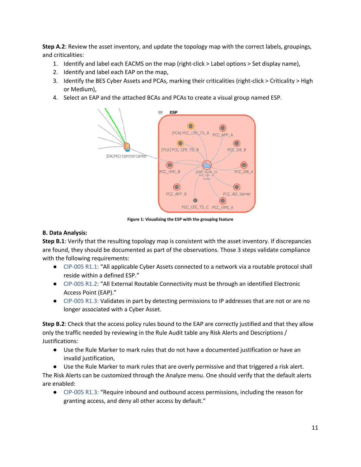**Step A.2**: Review the asset inventory, and update the topology map with the correct labels, groupings, and criticalities:

- 1. Identify and label each EACMS on the map (right-click > Label options > Set display name),
- 2. Identify and label each EAP on the map,
- 3. Identify the BES Cyber Assets and PCAs, marking their criticalities (right-click > Criticality > High or Medium),
- 4. Select an EAP and the attached BCAs and PCAs to create a visual group named ESP.



**Figure 1: Visualizing the ESP with the grouping feature**

#### **B. Data Analysis:**

**Step B.1**: Verify that the resulting topology map is consistent with the asset inventory. If discrepancies are found, they should be documented as part of the observations. Those 3 steps validate compliance with the following requirements:

- CIP-005 R1.1: "All applicable Cyber Assets connected to a network via a routable protocol shall reside within a defined ESP."
- CIP-005 R1.2: "All External Routable Connectivity must be through an identified Electronic Access Point (EAP)."
- CIP-005 R1.3: Validates in part by detecting permissions to IP addresses that are not or are no longer associated with a Cyber Asset.

**Step B.2**: Check that the access policy rules bound to the EAP are correctly justified and that they allow only the traffic needed by reviewing in the Rule Audit table any Risk Alerts and Descriptions / Justifications:

- Use the Rule Marker to mark rules that do not have a documented justification or have an invalid justification,
- Use the Rule Marker to mark rules that are overly permissive and that triggered a risk alert.

The Risk Alerts can be customized through the Analyze menu. One should verify that the default alerts are enabled:

● CIP-005 R1.3: "Require inbound and outbound access permissions, including the reason for granting access, and deny all other access by default."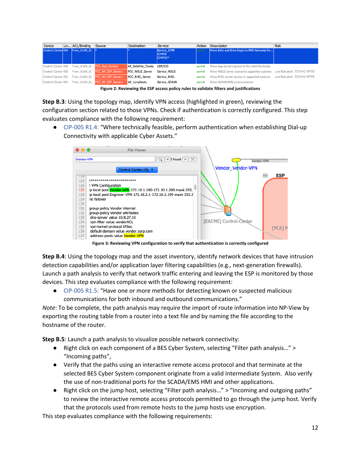| Device             | Lin ACL/Binding                    | Source                       | Destination            | Service                            | Action | Description                                      | <b>Risk</b>                   |
|--------------------|------------------------------------|------------------------------|------------------------|------------------------------------|--------|--------------------------------------------------|-------------------------------|
|                    | Control-Center 446 From VLAN 21  * |                              |                        | Service ICMP<br>ICMP/8<br>ICMP/0/* | ermit. | Allow Echo and Echo-Reply to EMS Networks for    |                               |
| Control-Center 448 |                                    | From VLAN 21 PCC App Servers | All Satellite Clocks   | <b>UDP/123</b>                     | permit | Allow App servers access to the satellite clocks |                               |
| Control-Center 450 | From VLAN 21                       | PCC All ESP Servers          | <b>PCC WSUS Server</b> | Service WSUS                       | permit | Allow WSUS server access to supported systems    | Low Risk alert: TCP/443 HTTPS |
| Control-Center 452 | From VLAN 21                       | PCC All ESP Servers          | <b>PCC RHEL Server</b> | Service RHEL                       | permit | Allow RHEL server access to supported systems    | Low Risk alert: TCP/443 HTTPS |
| Control-Center 454 | From VLAN 21                       | PCC All ESP Servers          | All Jumphosts          | Service SCADA                      | permit | Allow SCADA/EMS communication                    |                               |

**Figure 2: Reviewing the ESP access policy rules to validate filters and justifications**

**Step B.3**: Using the topology map, identify VPN access (highlighted in green), reviewing the configuration section related to those VPNs. Check if authentication is correctly configured. This step evaluates compliance with the following requirement:

● CIP-005 R1.4: "Where technically feasible, perform authentication when establishing Dial-up Connectivity with applicable Cyber Assets."



**Figure 3: Reviewing VPN configuration to verify that authentication is correctly configured**

**Step B.4**: Using the topology map and the asset inventory, identify network devices that have intrusion detection capabilities and/or application layer filtering capabilities (e.g., next-generation firewalls). Launch a path analysis to verify that network traffic entering and leaving the ESP is monitored by those devices. This step evaluates compliance with the following requirement:

● CIP-005 R1.5: "Have one or more methods for detecting known or suspected malicious communications for both inbound and outbound communications."

*Note*: To be complete, the path analysis may require the import of route information into NP-View by exporting the routing table from a router into a text file and by naming the file according to the hostname of the router.

**Step B.5**: Launch a path analysis to visualize possible network connectivity:

- Right click on each component of a BES Cyber System, selecting "Filter path analysis..." > "Incoming paths",
- Verify that the paths using an interactive remote access protocol and that terminate at the selected BES Cyber System component originate from a valid Intermediate System. Also verify the use of non-traditional ports for the SCADA/EMS HMI and other applications.
- Right click on the jump host, selecting "Filter path analysis..." > "Incoming and outgoing paths" to review the interactive remote access protocols permitted to go through the jump host. Verify that the protocols used from remote hosts to the jump hosts use encryption.

This step evaluates compliance with the following requirements: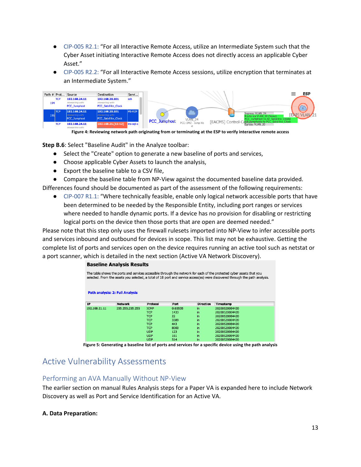- CIP-005 R2.1: "For all Interactive Remote Access, utilize an Intermediate System such that the Cyber Asset initiating Interactive Remote Access does not directly access an applicable Cyber Asset."
- CIP-005 R2.2: "For all Interactive Remote Access sessions, utilize encryption that terminates at an Intermediate System."

|            |            | Path # Prot Source                                          | Destination                                                        | Servi    |
|------------|------------|-------------------------------------------------------------|--------------------------------------------------------------------|----------|
| 194        | <b>TCP</b> | 192.168.24.11<br>intersecting with:<br><b>PCC Jumphost</b>  | 192.168.20.101<br>intersecting with:<br><b>PCC Satellite Clock</b> | ssh      |
| <b>195</b> | <b>TCP</b> | 192.168.24.11<br>intersecting with:<br><b>PCC</b> Jumphost  | 192.168.20.101<br>intersecting with:<br><b>PCC Satellite Clock</b> | MS-RDP   |
|            | <b>TCP</b> | 192.168.24.11<br>The first property of the control that the | 192.168.21.[11:12]                                                 | ms-sql-s |

**Figure 4: Reviewing network path originating from or terminating at the ESP to verify interactive remote access**

**Step B.6**: Select "Baseline Audit" in the Analyze toolbar:

- Select the "Create" option to generate a new baseline of ports and services,
- Choose applicable Cyber Assets to launch the analysis,
- Export the baseline table to a CSV file,
- Compare the baseline table from NP-View against the documented baseline data provided.

Differences found should be documented as part of the assessment of the following requirements:

● CIP-007 R1.1: "Where technically feasible, enable only logical network accessible ports that have been determined to be needed by the Responsible Entity, including port ranges or services where needed to handle dynamic ports. If a device has no provision for disabling or restricting logical ports on the device then those ports that are open are deemed needed."

Please note that this step only uses the firewall rulesets imported into NP-View to infer accessible ports and services inbound and outbound for devices in scope. This list may not be exhaustive. Getting the complete list of ports and services open on the device requires running an active tool such as netstat or a port scanner, which is detailed in the next section (Active VA Network Discovery).

#### **Baseline Analysis Results**

| The table shows the ports and services accessible through the network for each of the protected cyber assets that you<br>selected. From the assets you selected, a total of 18 port and service access(es) were discovered through the path analysis. |                                        |             |         |                  |                |  |
|-------------------------------------------------------------------------------------------------------------------------------------------------------------------------------------------------------------------------------------------------------|----------------------------------------|-------------|---------|------------------|----------------|--|
|                                                                                                                                                                                                                                                       | <b>Path analysis: 2: Full Analysis</b> |             |         |                  |                |  |
| <b>IP</b>                                                                                                                                                                                                                                             | <b>Network</b>                         | Protocol    | Port    | <b>Direction</b> | Timestamp      |  |
| 192.168.21.11                                                                                                                                                                                                                                         | 255.255.255.255                        | <b>ICMP</b> | 0:65535 | in               | 20200528084420 |  |
|                                                                                                                                                                                                                                                       |                                        | <b>TCP</b>  | 1433    | in               | 20200528084420 |  |
|                                                                                                                                                                                                                                                       |                                        | <b>TCP</b>  | 22      | in               | 20200528084420 |  |
|                                                                                                                                                                                                                                                       |                                        | <b>TCP</b>  | 3389    | in               | 20200528084420 |  |
|                                                                                                                                                                                                                                                       |                                        | <b>TCP</b>  | 443     | in               | 20200528084420 |  |
|                                                                                                                                                                                                                                                       |                                        | <b>TCP</b>  | 8000    | in               | 20200528084420 |  |
|                                                                                                                                                                                                                                                       |                                        | <b>UDP</b>  | 123     | in               | 20200528084420 |  |
|                                                                                                                                                                                                                                                       |                                        | <b>UDP</b>  | 161     | in               | 20200528084420 |  |
|                                                                                                                                                                                                                                                       |                                        | <b>LIDP</b> | 514     | in.              | 20200528084420 |  |

**Figure 5: Generating a baseline list of ports and services for a specific device using the path analysis**

# Active Vulnerability Assessments

#### Performing an AVA Manually Without NP-View

The earlier section on manual Rules Analysis steps for a Paper VA is expanded here to include Network Discovery as well as Port and Service Identification for an Active VA.

#### **A. Data Preparation:**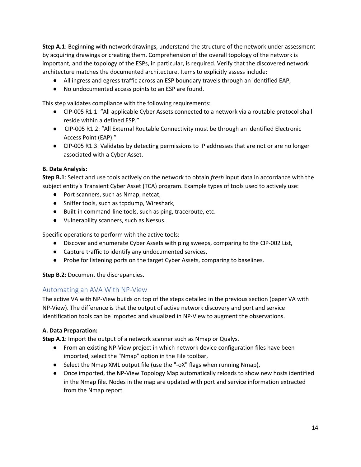**Step A.1**: Beginning with network drawings, understand the structure of the network under assessment by acquiring drawings or creating them. Comprehension of the overall topology of the network is important, and the topology of the ESPs, in particular, is required. Verify that the discovered network architecture matches the documented architecture. Items to explicitly assess include:

- All ingress and egress traffic across an ESP boundary travels through an identified EAP,
- No undocumented access points to an ESP are found.

This step validates compliance with the following requirements:

- CIP-005 R1.1: "All applicable Cyber Assets connected to a network via a routable protocol shall reside within a defined ESP."
- CIP-005 R1.2: "All External Routable Connectivity must be through an identified Electronic Access Point (EAP)."
- CIP-005 R1.3: Validates by detecting permissions to IP addresses that are not or are no longer associated with a Cyber Asset.

#### **B. Data Analysis:**

**Step B.1**: Select and use tools actively on the network to obtain *fresh* input data in accordance with the subject entity's Transient Cyber Asset (TCA) program. Example types of tools used to actively use:

- Port scanners, such as Nmap, netcat,
- Sniffer tools, such as tcpdump, Wireshark,
- Built-in command-line tools, such as ping, traceroute, etc.
- Vulnerability scanners, such as Nessus.

Specific operations to perform with the active tools:

- Discover and enumerate Cyber Assets with ping sweeps, comparing to the CIP-002 List,
- Capture traffic to identify any undocumented services,
- Probe for listening ports on the target Cyber Assets, comparing to baselines.

**Step B.2**: Document the discrepancies.

#### Automating an AVA With NP-View

The active VA with NP-View builds on top of the steps detailed in the previous section (paper VA with NP-View). The difference is that the output of active network discovery and port and service identification tools can be imported and visualized in NP-View to augment the observations.

#### **A. Data Preparation:**

**Step A.1**: Import the output of a network scanner such as Nmap or Qualys.

- From an existing NP-View project in which network device configuration files have been imported, select the "Nmap" option in the File toolbar,
- Select the Nmap XML output file (use the "-oX" flags when running Nmap),
- Once imported, the NP-View Topology Map automatically reloads to show new hosts identified in the Nmap file. Nodes in the map are updated with port and service information extracted from the Nmap report.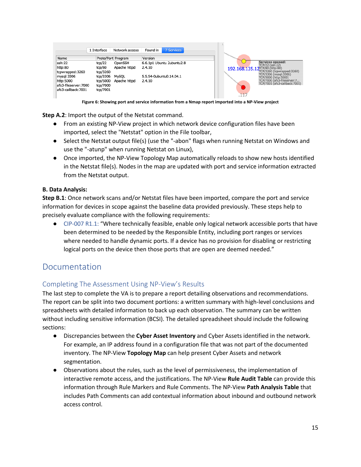|                      | 1 Interface | Network access     | Found in | 7 Services                |  |      |                                               |
|----------------------|-------------|--------------------|----------|---------------------------|--|------|-----------------------------------------------|
| Name                 |             | Proto/Port Program | Version  |                           |  |      |                                               |
| ssh:22               | tcp/22      | OpenSSH            |          | 6.6.1p1 Ubuntu 2ubuntu2.8 |  |      | Services opened:<br>TCP/22 (ssh:22)           |
| http:80              | tcp/80      | Apache httpd       | 2.4.10   |                           |  |      | 192.168.135.12TCP/80 (http:80)                |
| tcpwrapped: 3260     | tcp/3260    |                    |          |                           |  |      | TCP/3260 (tcpwrapped:3260)                    |
| mysgl:3306           | tcp/3306    | <b>MySQL</b>       |          | 5.5.54-0ubuntu0.14.04.1   |  |      | TCP/3306 (mysql:3306)<br>TCP/5000 (http:5000) |
| http:5000            | tcp/5000    | Apache httpd       | 2.4.10   |                           |  |      | TCP/7000 (afs3-fileserver:7                   |
| afs3-fileserver:7000 | tcp/7000    |                    |          |                           |  |      | TCP/7001 (afs3-callback:7001)                 |
| afs3-callback: 7001  | tcp/7001    |                    |          |                           |  |      |                                               |
|                      |             |                    |          |                           |  | .117 |                                               |

**Figure 6: Showing port and service information from a Nmap report imported into a NP-View project**

**Step A.2**: Import the output of the Netstat command.

- From an existing NP-View project in which network device configuration files have been imported, select the "Netstat" option in the File toolbar,
- Select the Netstat output file(s) (use the "-abon" flags when running Netstat on Windows and use the "-atunp" when running Netstat on Linux),
- Once imported, the NP-View Topology Map automatically reloads to show new hosts identified in the Netstat file(s). Nodes in the map are updated with port and service information extracted from the Netstat output.

#### **B. Data Analysis:**

**Step B.1**: Once network scans and/or Netstat files have been imported, compare the port and service information for devices in scope against the baseline data provided previously. These steps help to precisely evaluate compliance with the following requirements:

● CIP-007 R1.1: "Where technically feasible, enable only logical network accessible ports that have been determined to be needed by the Responsible Entity, including port ranges or services where needed to handle dynamic ports. If a device has no provision for disabling or restricting logical ports on the device then those ports that are open are deemed needed."

# Documentation

## Completing The Assessment Using NP-View's Results

The last step to complete the VA is to prepare a report detailing observations and recommendations. The report can be split into two document portions: a written summary with high-level conclusions and spreadsheets with detailed information to back up each observation. The summary can be written without including sensitive information (BCSI). The detailed spreadsheet should include the following sections:

- Discrepancies between the **Cyber Asset Inventory** and Cyber Assets identified in the network. For example, an IP address found in a configuration file that was not part of the documented inventory. The NP-View **Topology Map** can help present Cyber Assets and network segmentation.
- Observations about the rules, such as the level of permissiveness, the implementation of interactive remote access, and the justifications. The NP-View **Rule Audit Table** can provide this information through Rule Markers and Rule Comments. The NP-View **Path Analysis Table** that includes Path Comments can add contextual information about inbound and outbound network access control.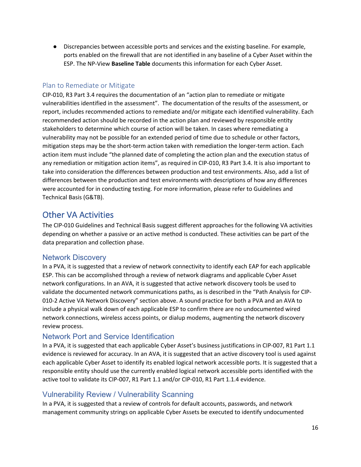● Discrepancies between accessible ports and services and the existing baseline. For example, ports enabled on the firewall that are not identified in any baseline of a Cyber Asset within the ESP. The NP-View **Baseline Table** documents this information for each Cyber Asset.

### Plan to Remediate or Mitigate

CIP-010, R3 Part 3.4 requires the documentation of an "action plan to remediate or mitigate vulnerabilities identified in the assessment". The documentation of the results of the assessment, or report, includes recommended actions to remediate and/or mitigate each identified vulnerability. Each recommended action should be recorded in the action plan and reviewed by responsible entity stakeholders to determine which course of action will be taken. In cases where remediating a vulnerability may not be possible for an extended period of time due to schedule or other factors, mitigation steps may be the short-term action taken with remediation the longer-term action. Each action item must include "the planned date of completing the action plan and the execution status of any remediation or mitigation action items", as required in CIP-010, R3 Part 3.4. It is also important to take into consideration the differences between production and test environments. Also, add a list of differences between the production and test environments with descriptions of how any differences were accounted for in conducting testing. For more information, please refer to Guidelines and Technical Basis (G&TB).

# Other VA Activities

The CIP-010 Guidelines and Technical Basis suggest different approaches for the following VA activities depending on whether a passive or an active method is conducted. These activities can be part of the data preparation and collection phase.

## Network Discovery

In a PVA, it is suggested that a review of network connectivity to identify each EAP for each applicable ESP. This can be accomplished through a review of network diagrams and applicable Cyber Asset network configurations. In an AVA, it is suggested that active network discovery tools be used to validate the documented network communications paths, as is described in the "Path Analysis for CIP-010-2 Active VA Network Discovery" section above. A sound practice for both a PVA and an AVA to include a physical walk down of each applicable ESP to confirm there are no undocumented wired network connections, wireless access points, or dialup modems, augmenting the network discovery review process.

# Network Port and Service Identification

In a PVA, it is suggested that each applicable Cyber Asset's business justifications in CIP-007, R1 Part 1.1 evidence is reviewed for accuracy. In an AVA, it is suggested that an active discovery tool is used against each applicable Cyber Asset to identify its enabled logical network accessible ports. It is suggested that a responsible entity should use the currently enabled logical network accessible ports identified with the active tool to validate its CIP-007, R1 Part 1.1 and/or CIP-010, R1 Part 1.1.4 evidence.

# Vulnerability Review / Vulnerability Scanning

In a PVA, it is suggested that a review of controls for default accounts, passwords, and network management community strings on applicable Cyber Assets be executed to identify undocumented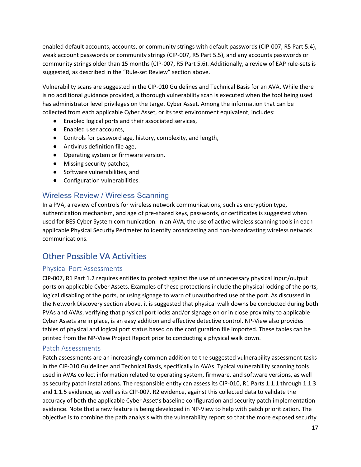enabled default accounts, accounts, or community strings with default passwords (CIP-007, R5 Part 5.4), weak account passwords or community strings (CIP-007, R5 Part 5.5), and any accounts passwords or community strings older than 15 months (CIP-007, R5 Part 5.6). Additionally, a review of EAP rule-sets is suggested, as described in the "Rule-set Review" section above.

Vulnerability scans are suggested in the CIP-010 Guidelines and Technical Basis for an AVA. While there is no additional guidance provided, a thorough vulnerability scan is executed when the tool being used has administrator level privileges on the target Cyber Asset. Among the information that can be collected from each applicable Cyber Asset, or its test environment equivalent, includes:

- Enabled logical ports and their associated services,
- Enabled user accounts,
- Controls for password age, history, complexity, and length,
- Antivirus definition file age,
- Operating system or firmware version,
- Missing security patches,
- Software vulnerabilities, and
- Configuration vulnerabilities.

## Wireless Review / Wireless Scanning

In a PVA, a review of controls for wireless network communications, such as encryption type, authentication mechanism, and age of pre-shared keys, passwords, or certificates is suggested when used for BES Cyber System communication. In an AVA, the use of active wireless scanning tools in each applicable Physical Security Perimeter to identify broadcasting and non-broadcasting wireless network communications.

# Other Possible VA Activities

#### Physical Port Assessments

CIP-007, R1 Part 1.2 requires entities to protect against the use of unnecessary physical input/output ports on applicable Cyber Assets. Examples of these protections include the physical locking of the ports, logical disabling of the ports, or using signage to warn of unauthorized use of the port. As discussed in the Network Discovery section above, it is suggested that physical walk downs be conducted during both PVAs and AVAs, verifying that physical port locks and/or signage on or in close proximity to applicable Cyber Assets are in place, is an easy addition and effective detective control. NP-View also provides tables of physical and logical port status based on the configuration file imported. These tables can be printed from the NP-View Project Report prior to conducting a physical walk down.

#### Patch Assessments

Patch assessments are an increasingly common addition to the suggested vulnerability assessment tasks in the CIP-010 Guidelines and Technical Basis, specifically in AVAs. Typical vulnerability scanning tools used in AVAs collect information related to operating system, firmware, and software versions, as well as security patch installations. The responsible entity can assess its CIP-010, R1 Parts 1.1.1 through 1.1.3 and 1.1.5 evidence, as well as its CIP-007, R2 evidence, against this collected data to validate the accuracy of both the applicable Cyber Asset's baseline configuration and security patch implementation evidence. Note that a new feature is being developed in NP-View to help with patch prioritization. The objective is to combine the path analysis with the vulnerability report so that the more exposed security